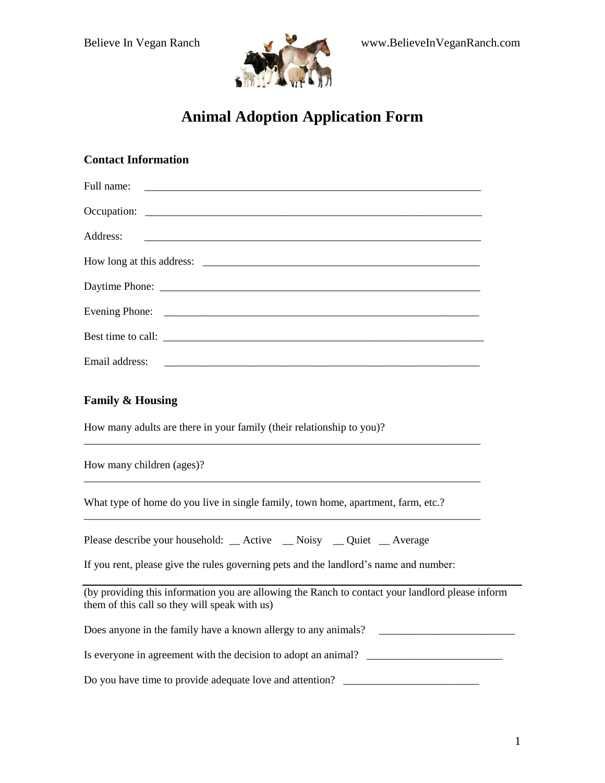

# **Animal Adoption Application Form**

| <b>Contact Information</b>                                                                                                                                                                                                        |
|-----------------------------------------------------------------------------------------------------------------------------------------------------------------------------------------------------------------------------------|
| Full name:<br><u> 1989 - Johann Barbara, martxa alemaniar amerikan basar da da a shekara a shekara a shekara a shekara a shekar</u>                                                                                               |
|                                                                                                                                                                                                                                   |
| Address:                                                                                                                                                                                                                          |
|                                                                                                                                                                                                                                   |
|                                                                                                                                                                                                                                   |
|                                                                                                                                                                                                                                   |
| Best time to call: $\frac{1}{2}$ is the set of the set of the set of the set of the set of the set of the set of the set of the set of the set of the set of the set of the set of the set of the set of the set of the set of th |
| Email address:                                                                                                                                                                                                                    |
| <b>Family &amp; Housing</b><br>How many adults are there in your family (their relationship to you)?                                                                                                                              |
| How many children (ages)?                                                                                                                                                                                                         |
| What type of home do you live in single family, town home, apartment, farm, etc.?                                                                                                                                                 |
| Please describe your household: __ Active __ Noisy __ Quiet __ Average                                                                                                                                                            |
| If you rent, please give the rules governing pets and the landlord's name and number:                                                                                                                                             |
| (by providing this information you are allowing the Ranch to contact your landlord please inform<br>them of this call so they will speak with us)                                                                                 |
| Does anyone in the family have a known allergy to any animals?                                                                                                                                                                    |

Is everyone in agreement with the decision to adopt an animal?  $\Box$ 

Do you have time to provide adequate love and attention? \_\_\_\_\_\_\_\_\_\_\_\_\_\_\_\_\_\_\_\_\_\_\_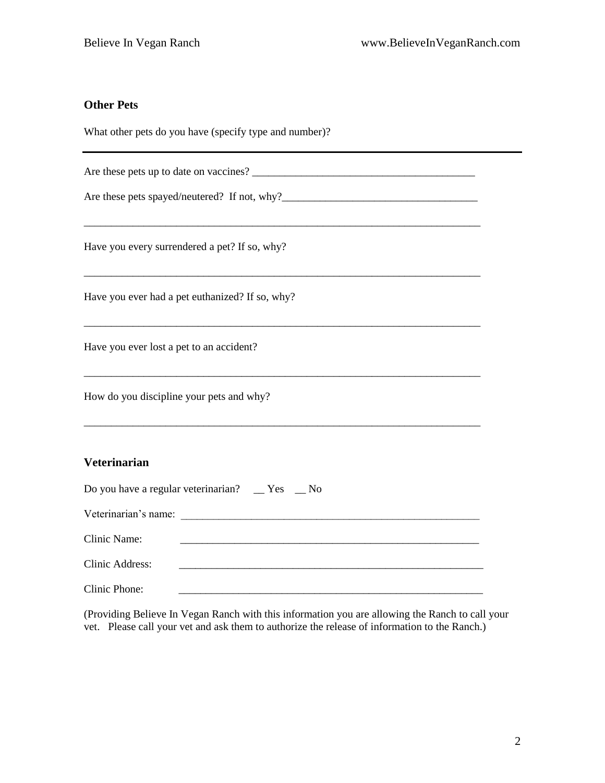### **Other Pets**

What other pets do you have (specify type and number)?

Are these pets up to date on vaccines?

\_\_\_\_\_\_\_\_\_\_\_\_\_\_\_\_\_\_\_\_\_\_\_\_\_\_\_\_\_\_\_\_\_\_\_\_\_\_\_\_\_\_\_\_\_\_\_\_\_\_\_\_\_\_\_\_\_\_\_\_\_\_\_\_\_\_\_\_\_\_\_\_\_

\_\_\_\_\_\_\_\_\_\_\_\_\_\_\_\_\_\_\_\_\_\_\_\_\_\_\_\_\_\_\_\_\_\_\_\_\_\_\_\_\_\_\_\_\_\_\_\_\_\_\_\_\_\_\_\_\_\_\_\_\_\_\_\_\_\_\_\_\_\_\_\_\_

\_\_\_\_\_\_\_\_\_\_\_\_\_\_\_\_\_\_\_\_\_\_\_\_\_\_\_\_\_\_\_\_\_\_\_\_\_\_\_\_\_\_\_\_\_\_\_\_\_\_\_\_\_\_\_\_\_\_\_\_\_\_\_\_\_\_\_\_\_\_\_\_\_

\_\_\_\_\_\_\_\_\_\_\_\_\_\_\_\_\_\_\_\_\_\_\_\_\_\_\_\_\_\_\_\_\_\_\_\_\_\_\_\_\_\_\_\_\_\_\_\_\_\_\_\_\_\_\_\_\_\_\_\_\_\_\_\_\_\_\_\_\_\_\_\_\_

Are these pets spayed/neutered? If not, why?\_\_\_\_\_\_\_\_\_\_\_\_\_\_\_\_\_\_\_\_\_\_\_\_\_\_\_\_\_\_\_\_\_\_\_\_

Have you every surrendered a pet? If so, why?

Have you ever had a pet euthanized? If so, why?

Have you ever lost a pet to an accident?

How do you discipline your pets and why?

#### **Veterinarian**

| Do you have a regular veterinarian? $\mathbb{R}^8$ $\mathbb{R}^8$ $\mathbb{R}^8$ No |  |  |  |
|-------------------------------------------------------------------------------------|--|--|--|
| Veterinarian's name:                                                                |  |  |  |
| Clinic Name:                                                                        |  |  |  |
| Clinic Address:                                                                     |  |  |  |
| Clinic Phone:                                                                       |  |  |  |

(Providing Believe In Vegan Ranch with this information you are allowing the Ranch to call your vet. Please call your vet and ask them to authorize the release of information to the Ranch.)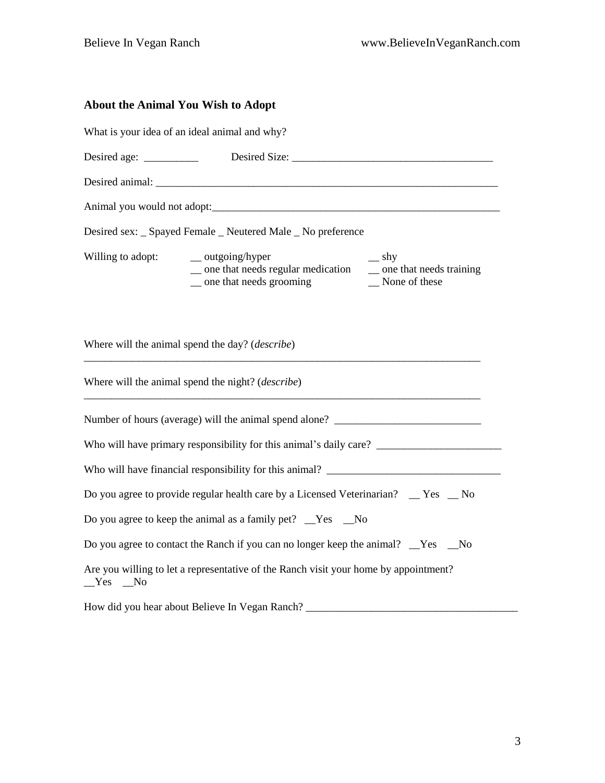## **About the Animal You Wish to Adopt**

|                   | What is your idea of an ideal animal and why?                                                                                                          |  |  |  |  |  |  |
|-------------------|--------------------------------------------------------------------------------------------------------------------------------------------------------|--|--|--|--|--|--|
|                   |                                                                                                                                                        |  |  |  |  |  |  |
|                   |                                                                                                                                                        |  |  |  |  |  |  |
|                   |                                                                                                                                                        |  |  |  |  |  |  |
|                   | Desired sex: _ Spayed Female _ Neutered Male _ No preference                                                                                           |  |  |  |  |  |  |
| Willing to adopt: | $\_\_$ outgoing/hyper<br>$\equiv$ shy<br>_ one that needs regular medication __ one that needs training<br>_ one that needs grooming<br>_None of these |  |  |  |  |  |  |
|                   | Where will the animal spend the day? ( <i>describe</i> )                                                                                               |  |  |  |  |  |  |
|                   | Where will the animal spend the night? ( <i>describe</i> )                                                                                             |  |  |  |  |  |  |
|                   | Number of hours (average) will the animal spend alone? __________________________                                                                      |  |  |  |  |  |  |
|                   |                                                                                                                                                        |  |  |  |  |  |  |
|                   | Who will have financial responsibility for this animal?                                                                                                |  |  |  |  |  |  |
|                   | Do you agree to provide regular health care by a Licensed Veterinarian? __ Yes __ No                                                                   |  |  |  |  |  |  |
|                   | Do you agree to keep the animal as a family pet? _Yes _No                                                                                              |  |  |  |  |  |  |
|                   | Do you agree to contact the Ranch if you can no longer keep the animal? No solve the solve                                                             |  |  |  |  |  |  |
| $Yes$ No          | Are you willing to let a representative of the Ranch visit your home by appointment?                                                                   |  |  |  |  |  |  |
|                   | How did you hear about Believe In Vegan Ranch?                                                                                                         |  |  |  |  |  |  |